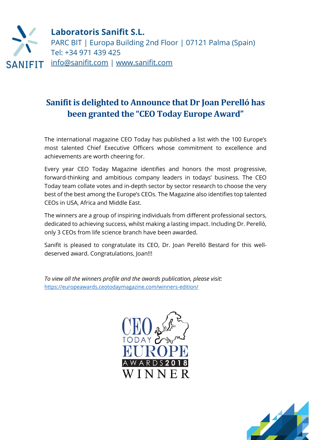

## **Sanifit is delighted to Announce that Dr Joan Perelló has been granted the "CEO Today Europe Award"**

The international magazine CEO Today has published a list with the 100 Europe's most talented Chief Executive Officers whose commitment to excellence and achievements are worth cheering for.

Every year CEO Today Magazine identifies and honors the most progressive, forward-thinking and ambitious company leaders in todays' business. The CEO Today team collate votes and in-depth sector by sector research to choose the very best of the best among the Europe's CEOs. The Magazine also identifies top talented CEOs in USA, Africa and Middle East.

The winners are a group of inspiring individuals from different professional sectors, dedicated to achieving success, whilst making a lasting impact. Including Dr. Perelló, only 3 CEOs from life science branch have been awarded.

Sanifit is pleased to congratulate its CEO, Dr. Joan Perelló Bestard for this welldeserved award. Congratulations, Joan!!!

*To view all the winners profile and the awards publication, please visit:*  <https://europeawards.ceotodaymagazine.com/winners-edition/>